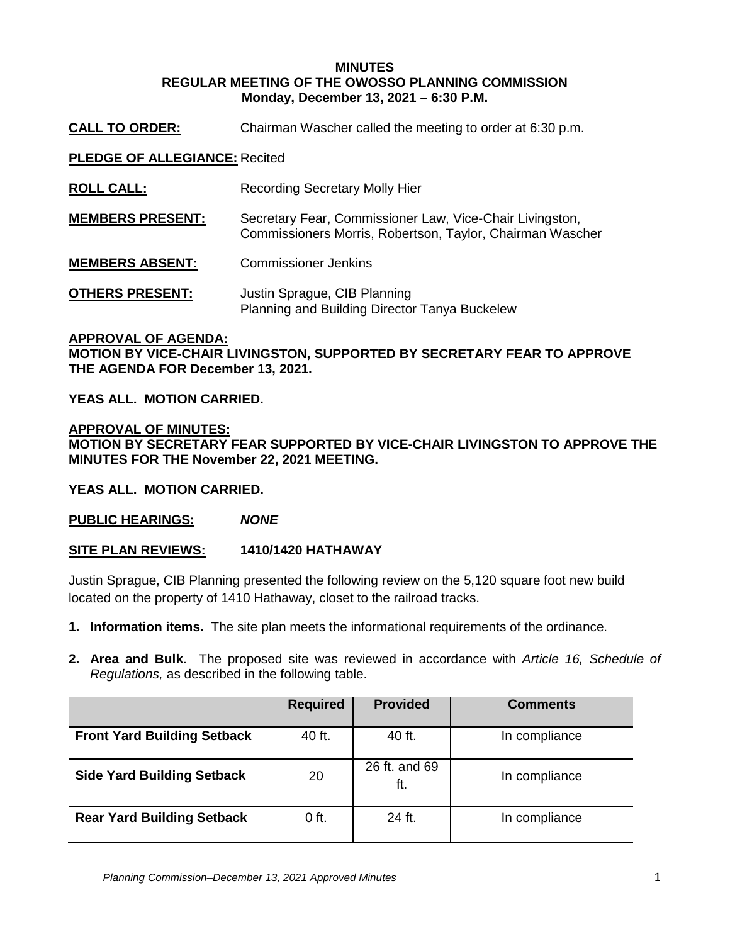### **MINUTES REGULAR MEETING OF THE OWOSSO PLANNING COMMISSION Monday, December 13, 2021 – 6:30 P.M.**

**CALL TO ORDER:** Chairman Wascher called the meeting to order at 6:30 p.m.

**PLEDGE OF ALLEGIANCE:** Recited

| <b>ROLL CALL:</b>       | <b>Recording Secretary Molly Hier</b>                                                                                 |
|-------------------------|-----------------------------------------------------------------------------------------------------------------------|
| <b>MEMBERS PRESENT:</b> | Secretary Fear, Commissioner Law, Vice-Chair Livingston,<br>Commissioners Morris, Robertson, Taylor, Chairman Wascher |
| <b>MEMBERS ABSENT:</b>  | <b>Commissioner Jenkins</b>                                                                                           |
| <b>OTHERS PRESENT:</b>  | Justin Sprague, CIB Planning<br>Planning and Building Director Tanya Buckelew                                         |

#### **APPROVAL OF AGENDA:**

**MOTION BY VICE-CHAIR LIVINGSTON, SUPPORTED BY SECRETARY FEAR TO APPROVE THE AGENDA FOR December 13, 2021.** 

**YEAS ALL. MOTION CARRIED.**

**APPROVAL OF MINUTES: MOTION BY SECRETARY FEAR SUPPORTED BY VICE-CHAIR LIVINGSTON TO APPROVE THE MINUTES FOR THE November 22, 2021 MEETING.** 

**YEAS ALL. MOTION CARRIED.**

**PUBLIC HEARINGS:** *NONE*

**SITE PLAN REVIEWS: 1410/1420 HATHAWAY**

Justin Sprague, CIB Planning presented the following review on the 5,120 square foot new build located on the property of 1410 Hathaway, closet to the railroad tracks.

- **1. Information items.** The site plan meets the informational requirements of the ordinance.
- **2. Area and Bulk**. The proposed site was reviewed in accordance with *Article 16, Schedule of Regulations,* as described in the following table.

|                                    | <b>Required</b> | <b>Provided</b>      | <b>Comments</b> |
|------------------------------------|-----------------|----------------------|-----------------|
| <b>Front Yard Building Setback</b> | 40 ft.          | 40 ft.               | In compliance   |
| <b>Side Yard Building Setback</b>  | 20              | 26 ft. and 69<br>ft. | In compliance   |
| <b>Rear Yard Building Setback</b>  | $0$ ft.         | 24 ft.               | In compliance   |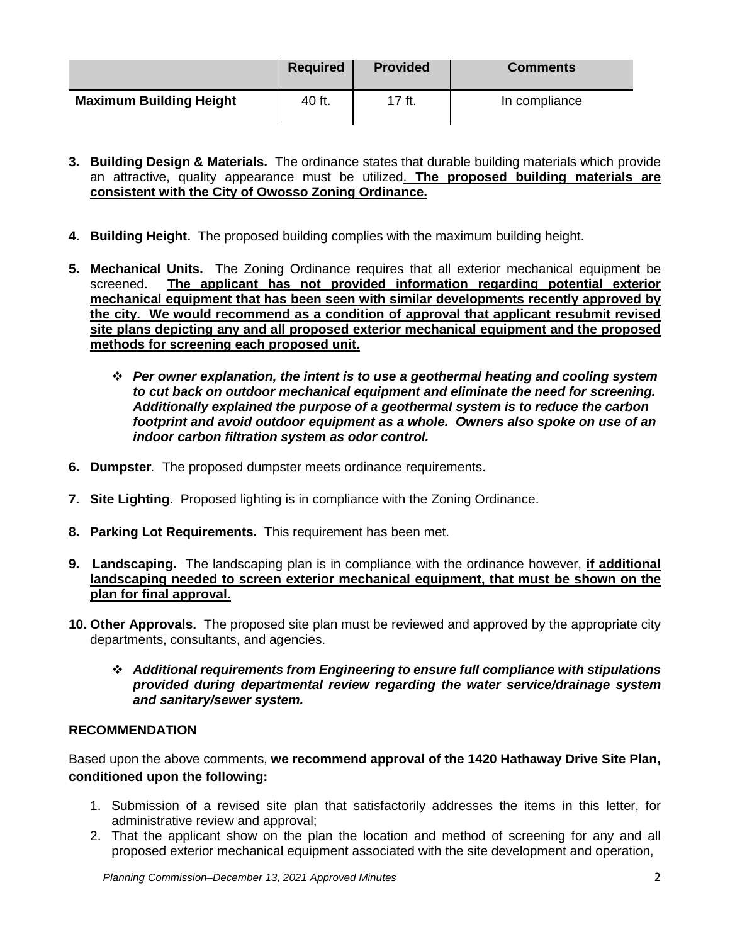|                                | <b>Required</b> | <b>Provided</b> | <b>Comments</b> |
|--------------------------------|-----------------|-----------------|-----------------|
| <b>Maximum Building Height</b> | 40 ft.          | 17 ft.          | In compliance   |

- **3. Building Design & Materials.** The ordinance states that durable building materials which provide an attractive, quality appearance must be utilized. **The proposed building materials are consistent with the City of Owosso Zoning Ordinance.**
- **4. Building Height.** The proposed building complies with the maximum building height.
- **5. Mechanical Units.** The Zoning Ordinance requires that all exterior mechanical equipment be screened. **The applicant has not provided information regarding potential exterior mechanical equipment that has been seen with similar developments recently approved by the city. We would recommend as a condition of approval that applicant resubmit revised site plans depicting any and all proposed exterior mechanical equipment and the proposed methods for screening each proposed unit.**
	- *Per owner explanation, the intent is to use a geothermal heating and cooling system to cut back on outdoor mechanical equipment and eliminate the need for screening. Additionally explained the purpose of a geothermal system is to reduce the carbon footprint and avoid outdoor equipment as a whole. Owners also spoke on use of an indoor carbon filtration system as odor control.*
- **6. Dumpster***.* The proposed dumpster meets ordinance requirements.
- **7. Site Lighting.** Proposed lighting is in compliance with the Zoning Ordinance.
- **8. Parking Lot Requirements.** This requirement has been met.
- **9. Landscaping.** The landscaping plan is in compliance with the ordinance however, **if additional landscaping needed to screen exterior mechanical equipment, that must be shown on the plan for final approval.**
- **10. Other Approvals.** The proposed site plan must be reviewed and approved by the appropriate city departments, consultants, and agencies.
	- *Additional requirements from Engineering to ensure full compliance with stipulations provided during departmental review regarding the water service/drainage system and sanitary/sewer system.*

# **RECOMMENDATION**

Based upon the above comments, **we recommend approval of the 1420 Hathaway Drive Site Plan, conditioned upon the following:** 

- 1. Submission of a revised site plan that satisfactorily addresses the items in this letter, for administrative review and approval;
- 2. That the applicant show on the plan the location and method of screening for any and all proposed exterior mechanical equipment associated with the site development and operation,